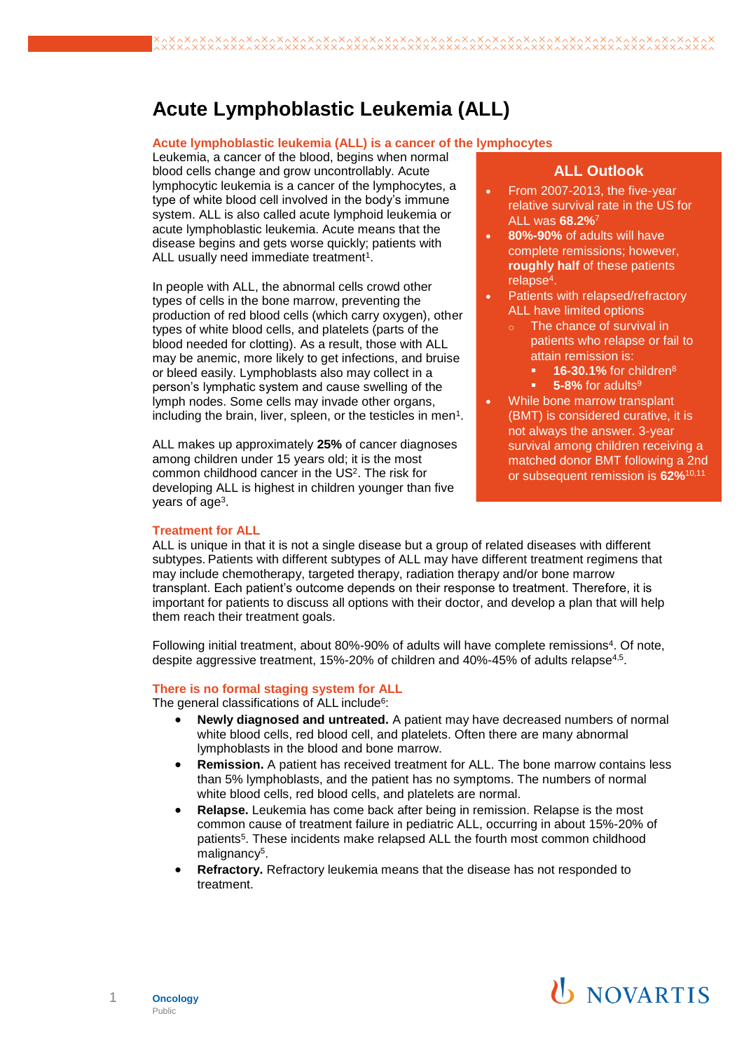## **Acute Lymphoblastic Leukemia (ALL)**

#### **Acute lymphoblastic leukemia (ALL) is a cancer of the lymphocytes**

Leukemia, a cancer of the blood, begins when normal blood cells change and grow uncontrollably. Acute lymphocytic leukemia is a cancer of the lymphocytes, a type of white blood cell involved in the body's immune system. ALL is also called acute lymphoid leukemia or acute lymphoblastic leukemia. Acute means that the disease begins and gets worse quickly; patients with ALL usually need immediate treatment<sup>1</sup>.

In people with ALL, the abnormal cells crowd other types of cells in the bone marrow, preventing the production of red blood cells (which carry oxygen), other types of white blood cells, and platelets (parts of the blood needed for clotting). As a result, those with ALL may be anemic, more likely to get infections, and bruise or bleed easily. Lymphoblasts also may collect in a person's lymphatic system and cause swelling of the lymph nodes. Some cells may invade other organs, including the brain, liver, spleen, or the testicles in men<sup>1</sup>.

ALL makes up approximately **25%** of cancer diagnoses among children under 15 years old; it is the most common childhood cancer in the US<sup>2</sup>. The risk for developing ALL is highest in children younger than five years of age<sup>3</sup>.

### **ALL Outlook**

- From 2007-2013, the five-year relative survival rate in the US for ALL was **68.2%**<sup>7</sup>
- **80%-90%** of adults will have complete remissions; however, **roughly half** of these patients relapse<sup>4</sup> .
- Patients with relapsed/refractory ALL have limited options
	- The chance of survival in patients who relapse or fail to attain remission is:
		- **16-30.1% for children<sup>8</sup>**
		- 5-8% for adults<sup>9</sup>
- While bone marrow transplant (BMT) is considered curative, it is not always the answer. 3-year survival among children receiving a matched donor BMT following a 2nd or subsequent remission is **62%**10,11

#### **Treatment for ALL**

ALL is unique in that it is not a single disease but a group of related diseases with different subtypes. Patients with different subtypes of ALL may have different treatment regimens that may include chemotherapy, targeted therapy, radiation therapy and/or bone marrow transplant. Each patient's outcome depends on their response to treatment. Therefore, it is important for patients to discuss all options with their doctor, and develop a plan that will help them reach their treatment goals.

Following initial treatment, about 80%-90% of adults will have complete remissions<sup>4</sup>. Of note, despite aggressive treatment, 15%-20% of children and 40%-45% of adults relapse<sup>4,5</sup>.

#### **There is no formal staging system for ALL**

The general classifications of ALL include<sup>6</sup>:

- **Newly diagnosed and untreated.** A patient may have decreased numbers of normal white blood cells, red blood cell, and platelets. Often there are many abnormal lymphoblasts in the blood and bone marrow.
- **Remission.** A patient has received treatment for ALL. The bone marrow contains less than 5% lymphoblasts, and the patient has no symptoms. The numbers of normal white blood cells, red blood cells, and platelets are normal.
- **Relapse.** Leukemia has come back after being in remission. Relapse is the most common cause of treatment failure in pediatric ALL, occurring in about 15%-20% of patients<sup>5</sup>. These incidents make relapsed ALL the fourth most common childhood malignancy<sup>5</sup>.
- **Refractory.** Refractory leukemia means that the disease has not responded to treatment.



# **U** NOVARTIS